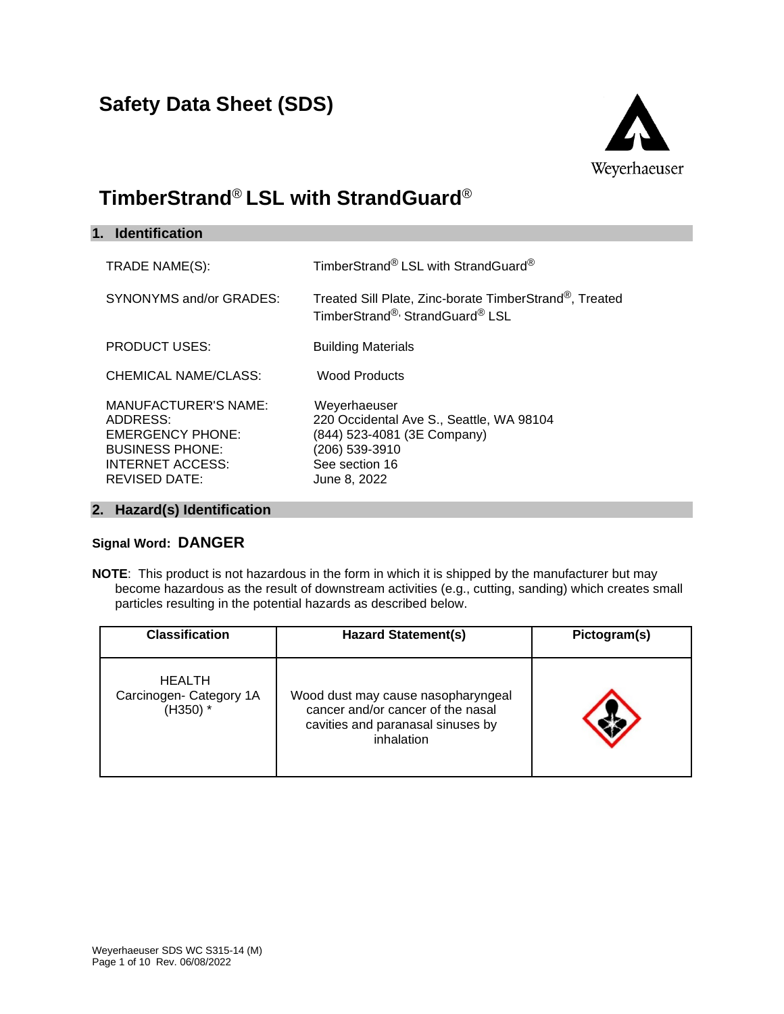# **Safety Data Sheet (SDS)**



# **TimberStrand**® **LSL with StrandGuard**®

| 1. Identification                                                                                                                               |                                                                                                                                             |
|-------------------------------------------------------------------------------------------------------------------------------------------------|---------------------------------------------------------------------------------------------------------------------------------------------|
| TRADE NAME(S):                                                                                                                                  | TimberStrand® LSL with StrandGuard®                                                                                                         |
| SYNONYMS and/or GRADES:                                                                                                                         | Treated Sill Plate, Zinc-borate TimberStrand®, Treated<br>TimberStrand®, StrandGuard® LSL                                                   |
| <b>PRODUCT USES:</b>                                                                                                                            | <b>Building Materials</b>                                                                                                                   |
| CHEMICAL NAME/CLASS:                                                                                                                            | Wood Products                                                                                                                               |
| <b>MANUFACTURER'S NAME:</b><br>ADDRESS:<br><b>EMERGENCY PHONE:</b><br><b>BUSINESS PHONE:</b><br><b>INTERNET ACCESS:</b><br><b>REVISED DATE:</b> | Weyerhaeuser<br>220 Occidental Ave S., Seattle, WA 98104<br>(844) 523-4081 (3E Company)<br>(206) 539-3910<br>See section 16<br>June 8, 2022 |

## **2. Hazard(s) Identification**

# **Signal Word: DANGER**

**NOTE**: This product is not hazardous in the form in which it is shipped by the manufacturer but may become hazardous as the result of downstream activities (e.g., cutting, sanding) which creates small particles resulting in the potential hazards as described below.

| <b>Classification</b>                                  | <b>Hazard Statement(s)</b>                                                                                                 | Pictogram(s) |
|--------------------------------------------------------|----------------------------------------------------------------------------------------------------------------------------|--------------|
| <b>HEALTH</b><br>Carcinogen- Category 1A<br>$(H350)$ * | Wood dust may cause nasopharyngeal<br>cancer and/or cancer of the nasal<br>cavities and paranasal sinuses by<br>inhalation |              |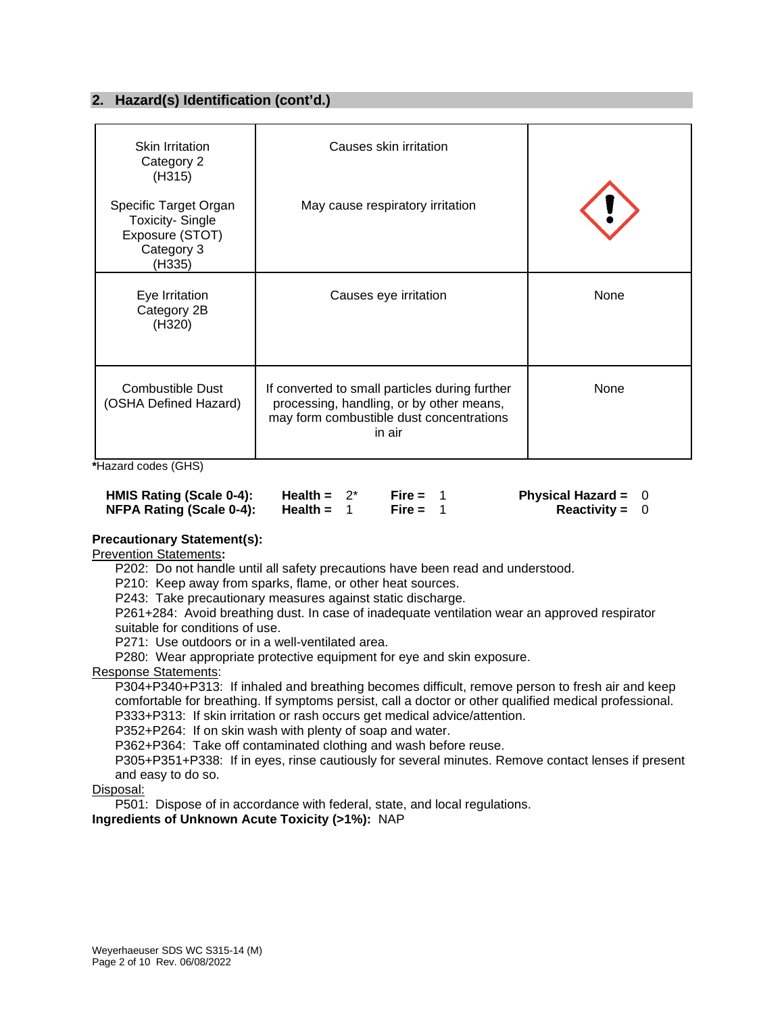# **2. Hazard(s) Identification (cont'd.)**

| <b>Skin Irritation</b><br>Category 2<br>(H315)                                             | Causes skin irritation                                                                                                                           |      |
|--------------------------------------------------------------------------------------------|--------------------------------------------------------------------------------------------------------------------------------------------------|------|
| Specific Target Organ<br><b>Toxicity-Single</b><br>Exposure (STOT)<br>Category 3<br>(H335) | May cause respiratory irritation                                                                                                                 |      |
| Eye Irritation<br>Category 2B<br>(H320)                                                    | Causes eye irritation                                                                                                                            | None |
| <b>Combustible Dust</b><br>(OSHA Defined Hazard)                                           | If converted to small particles during further<br>processing, handling, or by other means,<br>may form combustible dust concentrations<br>in air | None |

**\***Hazard codes (GHS)

| HMIS Rating (Scale 0-4): | Health = $2^*$ | Fire = $1$ | Physical Hazard = $0$ |  |
|--------------------------|----------------|------------|-----------------------|--|
| NFPA Rating (Scale 0-4): | Health =       | Fire = $1$ | Reactivity = $0$      |  |

## **Precautionary Statement(s):**

Prevention Statements**:**

P202: Do not handle until all safety precautions have been read and understood.

P210: Keep away from sparks, flame, or other heat sources.

P243: Take precautionary measures against static discharge.

P261+284: Avoid breathing dust. In case of inadequate ventilation wear an approved respirator suitable for conditions of use.

P271: Use outdoors or in a well-ventilated area.

P280: Wear appropriate protective equipment for eye and skin exposure.

#### Response Statements:

P304+P340+P313: If inhaled and breathing becomes difficult, remove person to fresh air and keep comfortable for breathing. If symptoms persist, call a doctor or other qualified medical professional. P333+P313: If skin irritation or rash occurs get medical advice/attention.

P352+P264: If on skin wash with plenty of soap and water.

P362+P364: Take off contaminated clothing and wash before reuse.

P305+P351+P338: If in eyes, rinse cautiously for several minutes. Remove contact lenses if present and easy to do so.

#### Disposal:

P501: Dispose of in accordance with federal, state, and local regulations.

**Ingredients of Unknown Acute Toxicity (>1%):** NAP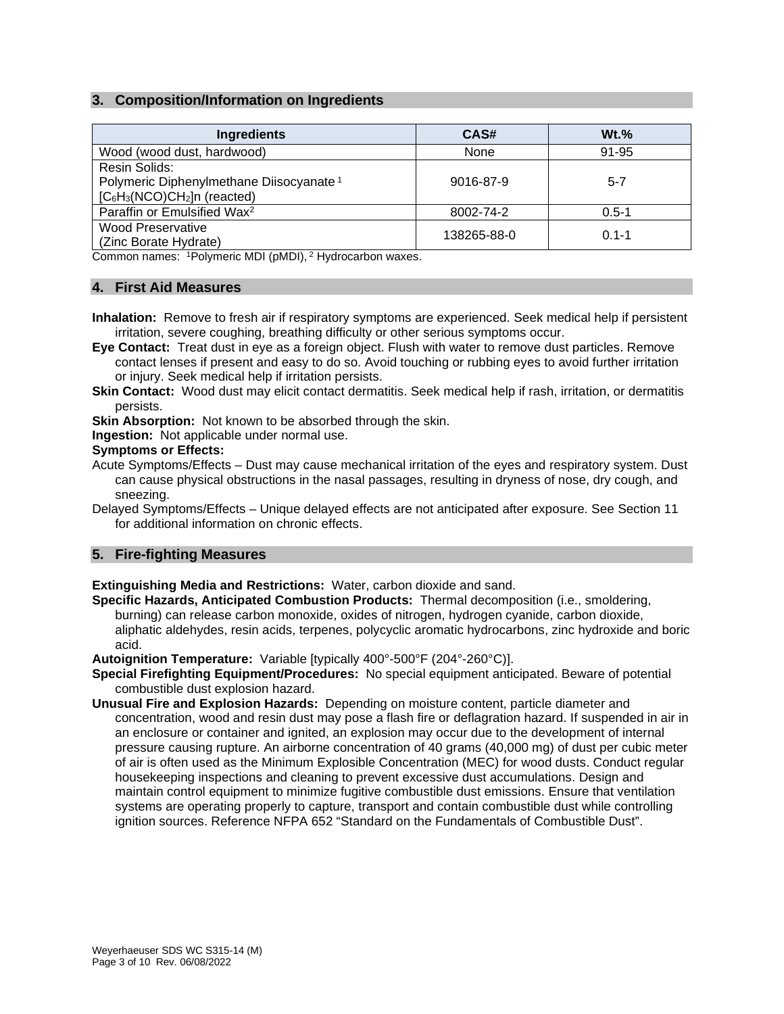# **3. Composition/Information on Ingredients**

| <b>Ingredients</b>                                  | CAS#        | $Wt.$ %   |
|-----------------------------------------------------|-------------|-----------|
| Wood (wood dust, hardwood)                          | None        | 91-95     |
| Resin Solids:                                       |             |           |
| Polymeric Diphenylmethane Diisocyanate <sup>1</sup> | 9016-87-9   | $5 - 7$   |
| $[C_6H_3(NCO)CH_2]n$ (reacted)                      |             |           |
| Paraffin or Emulsified Wax <sup>2</sup>             | 8002-74-2   | $0.5 - 1$ |
| <b>Wood Preservative</b>                            | 138265-88-0 | $0.1 - 1$ |
| (Zinc Borate Hydrate)                               |             |           |

Common names: 1Polymeric MDI (pMDI), <sup>2</sup> Hydrocarbon waxes.

#### **4. First Aid Measures**

- **Inhalation:** Remove to fresh air if respiratory symptoms are experienced. Seek medical help if persistent irritation, severe coughing, breathing difficulty or other serious symptoms occur.
- **Eye Contact:** Treat dust in eye as a foreign object. Flush with water to remove dust particles. Remove contact lenses if present and easy to do so. Avoid touching or rubbing eyes to avoid further irritation or injury. Seek medical help if irritation persists.
- **Skin Contact:** Wood dust may elicit contact dermatitis. Seek medical help if rash, irritation, or dermatitis persists.
- **Skin Absorption:** Not known to be absorbed through the skin.

**Ingestion:** Not applicable under normal use.

#### **Symptoms or Effects:**

- Acute Symptoms/Effects Dust may cause mechanical irritation of the eyes and respiratory system. Dust can cause physical obstructions in the nasal passages, resulting in dryness of nose, dry cough, and sneezing.
- Delayed Symptoms/Effects Unique delayed effects are not anticipated after exposure. See Section 11 for additional information on chronic effects.

#### **5. Fire-fighting Measures**

**Extinguishing Media and Restrictions:** Water, carbon dioxide and sand.

**Specific Hazards, Anticipated Combustion Products:** Thermal decomposition (i.e., smoldering, burning) can release carbon monoxide, oxides of nitrogen, hydrogen cyanide, carbon dioxide, aliphatic aldehydes, resin acids, terpenes, polycyclic aromatic hydrocarbons, zinc hydroxide and boric acid.

**Autoignition Temperature:** Variable [typically 400°-500°F (204°-260°C)].

- **Special Firefighting Equipment/Procedures:** No special equipment anticipated. Beware of potential combustible dust explosion hazard.
- **Unusual Fire and Explosion Hazards:** Depending on moisture content, particle diameter and concentration, wood and resin dust may pose a flash fire or deflagration hazard. If suspended in air in an enclosure or container and ignited, an explosion may occur due to the development of internal pressure causing rupture. An airborne concentration of 40 grams (40,000 mg) of dust per cubic meter of air is often used as the Minimum Explosible Concentration (MEC) for wood dusts. Conduct regular housekeeping inspections and cleaning to prevent excessive dust accumulations. Design and maintain control equipment to minimize fugitive combustible dust emissions. Ensure that ventilation systems are operating properly to capture, transport and contain combustible dust while controlling ignition sources. Reference NFPA 652 "Standard on the Fundamentals of Combustible Dust".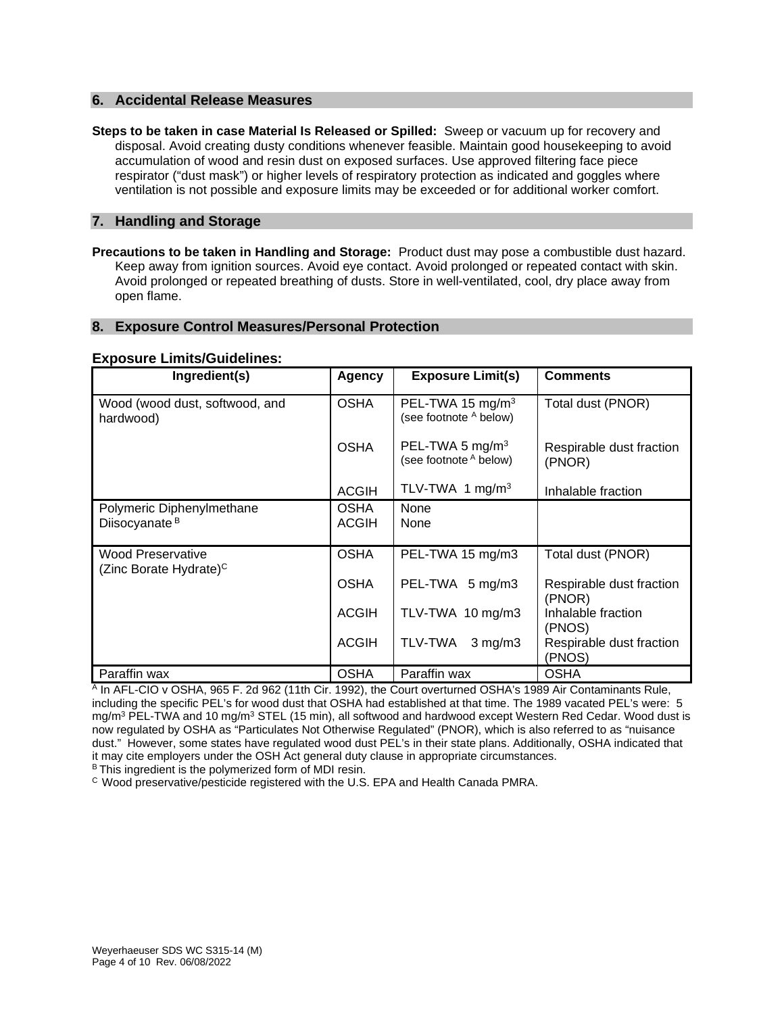#### **6. Accidental Release Measures**

**Steps to be taken in case Material Is Released or Spilled:** Sweep or vacuum up for recovery and disposal. Avoid creating dusty conditions whenever feasible. Maintain good housekeeping to avoid accumulation of wood and resin dust on exposed surfaces. Use approved filtering face piece respirator ("dust mask") or higher levels of respiratory protection as indicated and goggles where ventilation is not possible and exposure limits may be exceeded or for additional worker comfort.

#### **7. Handling and Storage**

**Precautions to be taken in Handling and Storage:** Product dust may pose a combustible dust hazard. Keep away from ignition sources. Avoid eye contact. Avoid prolonged or repeated contact with skin. Avoid prolonged or repeated breathing of dusts. Store in well-ventilated, cool, dry place away from open flame.

#### **8. Exposure Control Measures/Personal Protection**

#### **Exposure Limits/Guidelines:**

| Ingredient(s)                                                  | Agency                      | <b>Exposure Limit(s)</b>                               | <b>Comments</b>                    |
|----------------------------------------------------------------|-----------------------------|--------------------------------------------------------|------------------------------------|
| Wood (wood dust, softwood, and<br>hardwood)                    | <b>OSHA</b>                 | PEL-TWA 15 mg/m <sup>3</sup><br>(see footnote A below) | Total dust (PNOR)                  |
|                                                                | <b>OSHA</b>                 | PEL-TWA 5 mg/m <sup>3</sup><br>(see footnote A below)  | Respirable dust fraction<br>(PNOR) |
|                                                                | <b>ACGIH</b>                | TLV-TWA 1 mg/m <sup>3</sup>                            | Inhalable fraction                 |
| Polymeric Diphenylmethane<br>Diisocyanate <sup>B</sup>         | <b>OSHA</b><br><b>ACGIH</b> | None<br>None                                           |                                    |
| <b>Wood Preservative</b><br>(Zinc Borate Hydrate) <sup>C</sup> | <b>OSHA</b>                 | PEL-TWA 15 mg/m3                                       | Total dust (PNOR)                  |
|                                                                | <b>OSHA</b>                 | PEL-TWA 5 mg/m3                                        | Respirable dust fraction<br>(PNOR) |
|                                                                | <b>ACGIH</b>                | TLV-TWA 10 mg/m3                                       | Inhalable fraction<br>(PNOS)       |
|                                                                | <b>ACGIH</b>                | TLV-TWA<br>$3$ mg/m $3$                                | Respirable dust fraction<br>(PNOS) |
| Paraffin wax                                                   | <b>OSHA</b>                 | Paraffin wax                                           | <b>OSHA</b>                        |

A In AFL-CIO v OSHA, 965 F. 2d 962 (11th Cir. 1992), the Court overturned OSHA's 1989 Air Contaminants Rule, including the specific PEL's for wood dust that OSHA had established at that time. The 1989 vacated PEL's were: 5 mg/m<sup>3</sup> PEL-TWA and 10 mg/m<sup>3</sup> STEL (15 min), all softwood and hardwood except Western Red Cedar. Wood dust is now regulated by OSHA as "Particulates Not Otherwise Regulated" (PNOR), which is also referred to as "nuisance dust." However, some states have regulated wood dust PEL's in their state plans. Additionally, OSHA indicated that it may cite employers under the OSH Act general duty clause in appropriate circumstances.

B This ingredient is the polymerized form of MDI resin.

C Wood preservative/pesticide registered with the U.S. EPA and Health Canada PMRA.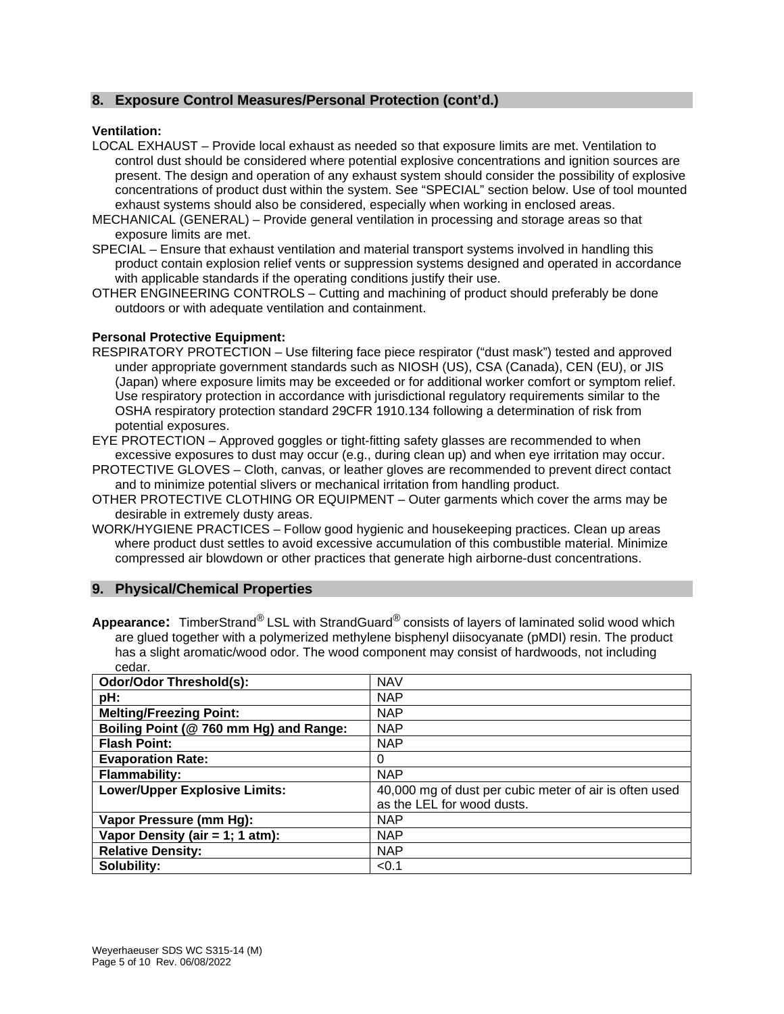# **8. Exposure Control Measures/Personal Protection (cont'd.)**

#### **Ventilation:**

- LOCAL EXHAUST Provide local exhaust as needed so that exposure limits are met. Ventilation to control dust should be considered where potential explosive concentrations and ignition sources are present. The design and operation of any exhaust system should consider the possibility of explosive concentrations of product dust within the system. See "SPECIAL" section below. Use of tool mounted exhaust systems should also be considered, especially when working in enclosed areas.
- MECHANICAL (GENERAL) Provide general ventilation in processing and storage areas so that exposure limits are met.
- SPECIAL Ensure that exhaust ventilation and material transport systems involved in handling this product contain explosion relief vents or suppression systems designed and operated in accordance with applicable standards if the operating conditions justify their use.
- OTHER ENGINEERING CONTROLS Cutting and machining of product should preferably be done outdoors or with adequate ventilation and containment.

#### **Personal Protective Equipment:**

- RESPIRATORY PROTECTION Use filtering face piece respirator ("dust mask") tested and approved under appropriate government standards such as NIOSH (US), CSA (Canada), CEN (EU), or JIS (Japan) where exposure limits may be exceeded or for additional worker comfort or symptom relief. Use respiratory protection in accordance with jurisdictional regulatory requirements similar to the OSHA respiratory protection standard 29CFR 1910.134 following a determination of risk from potential exposures.
- EYE PROTECTION Approved goggles or tight-fitting safety glasses are recommended to when excessive exposures to dust may occur (e.g., during clean up) and when eye irritation may occur.
- PROTECTIVE GLOVES Cloth, canvas, or leather gloves are recommended to prevent direct contact and to minimize potential slivers or mechanical irritation from handling product.
- OTHER PROTECTIVE CLOTHING OR EQUIPMENT Outer garments which cover the arms may be desirable in extremely dusty areas.
- WORK/HYGIENE PRACTICES Follow good hygienic and housekeeping practices. Clean up areas where product dust settles to avoid excessive accumulation of this combustible material. Minimize compressed air blowdown or other practices that generate high airborne-dust concentrations.

#### **9. Physical/Chemical Properties**

**Appearance:** TimberStrand® LSL with StrandGuard® consists of layers of laminated solid wood which are glued together with a polymerized methylene bisphenyl diisocyanate (pMDI) resin. The product has a slight aromatic/wood odor. The wood component may consist of hardwoods, not including cedar.

| <b>Odor/Odor Threshold(s):</b>         | <b>NAV</b>                                             |
|----------------------------------------|--------------------------------------------------------|
| pH:                                    | <b>NAP</b>                                             |
| <b>Melting/Freezing Point:</b>         | <b>NAP</b>                                             |
| Boiling Point (@ 760 mm Hg) and Range: | <b>NAP</b>                                             |
| <b>Flash Point:</b>                    | <b>NAP</b>                                             |
| <b>Evaporation Rate:</b>               | 0                                                      |
| <b>Flammability:</b>                   | <b>NAP</b>                                             |
| <b>Lower/Upper Explosive Limits:</b>   | 40,000 mg of dust per cubic meter of air is often used |
|                                        | as the LEL for wood dusts.                             |
| Vapor Pressure (mm Hg):                | <b>NAP</b>                                             |
| Vapor Density (air = 1; 1 atm):        | <b>NAP</b>                                             |
| <b>Relative Density:</b>               | <b>NAP</b>                                             |
| Solubility:                            | < 0.1                                                  |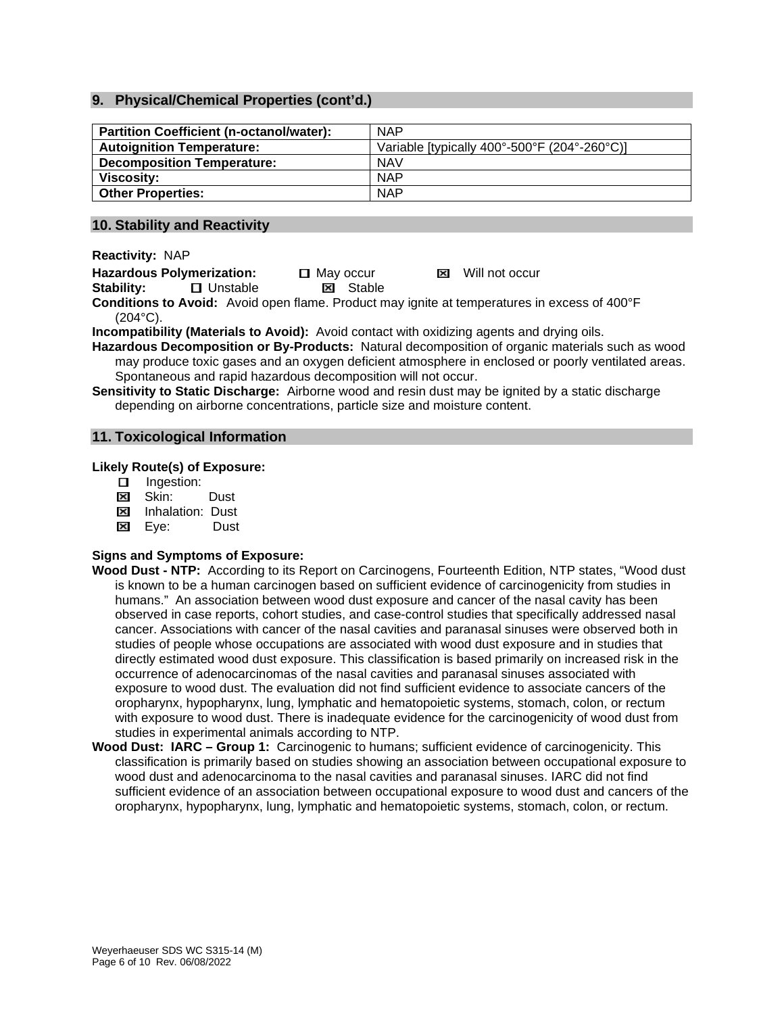# **9. Physical/Chemical Properties (cont'd.)**

| <b>Partition Coefficient (n-octanol/water):</b> | <b>NAP</b>                                   |
|-------------------------------------------------|----------------------------------------------|
| <b>Autoignition Temperature:</b>                | Variable [typically 400°-500°F (204°-260°C)] |
| <b>Decomposition Temperature:</b>               | <b>NAV</b>                                   |
| Viscosity:                                      | <b>NAP</b>                                   |
| <b>Other Properties:</b>                        | <b>NAP</b>                                   |

#### **10. Stability and Reactivity**

**Reactivity:** NAP

**Hazardous Polymerization: ロ** May occur 因 Will not occur<br> **Stability: ロ** Unstable 因 Stable

**Stability: E** Unstable

**Conditions to Avoid:** Avoid open flame. Product may ignite at temperatures in excess of 400°F (204°C).

**Incompatibility (Materials to Avoid):** Avoid contact with oxidizing agents and drying oils.

**Hazardous Decomposition or By-Products:** Natural decomposition of organic materials such as wood may produce toxic gases and an oxygen deficient atmosphere in enclosed or poorly ventilated areas. Spontaneous and rapid hazardous decomposition will not occur.

**Sensitivity to Static Discharge:** Airborne wood and resin dust may be ignited by a static discharge depending on airborne concentrations, particle size and moisture content.

# **11. Toxicological Information**

#### **Likely Route(s) of Exposure:**

- **Ingestion:**
- Skin: Dust
- **EX** Inhalation: Dust
- Eye:Dust

#### **Signs and Symptoms of Exposure:**

- **Wood Dust - NTP:** According to its Report on Carcinogens, Fourteenth Edition, NTP states, "Wood dust is known to be a human carcinogen based on sufficient evidence of carcinogenicity from studies in humans." An association between wood dust exposure and cancer of the nasal cavity has been observed in case reports, cohort studies, and case-control studies that specifically addressed nasal cancer. Associations with cancer of the nasal cavities and paranasal sinuses were observed both in studies of people whose occupations are associated with wood dust exposure and in studies that directly estimated wood dust exposure. This classification is based primarily on increased risk in the occurrence of adenocarcinomas of the nasal cavities and paranasal sinuses associated with exposure to wood dust. The evaluation did not find sufficient evidence to associate cancers of the oropharynx, hypopharynx, lung, lymphatic and hematopoietic systems, stomach, colon, or rectum with exposure to wood dust. There is inadequate evidence for the carcinogenicity of wood dust from studies in experimental animals according to NTP.
- **Wood Dust: IARC – Group 1:** Carcinogenic to humans; sufficient evidence of carcinogenicity. This classification is primarily based on studies showing an association between occupational exposure to wood dust and adenocarcinoma to the nasal cavities and paranasal sinuses. IARC did not find sufficient evidence of an association between occupational exposure to wood dust and cancers of the oropharynx, hypopharynx, lung, lymphatic and hematopoietic systems, stomach, colon, or rectum.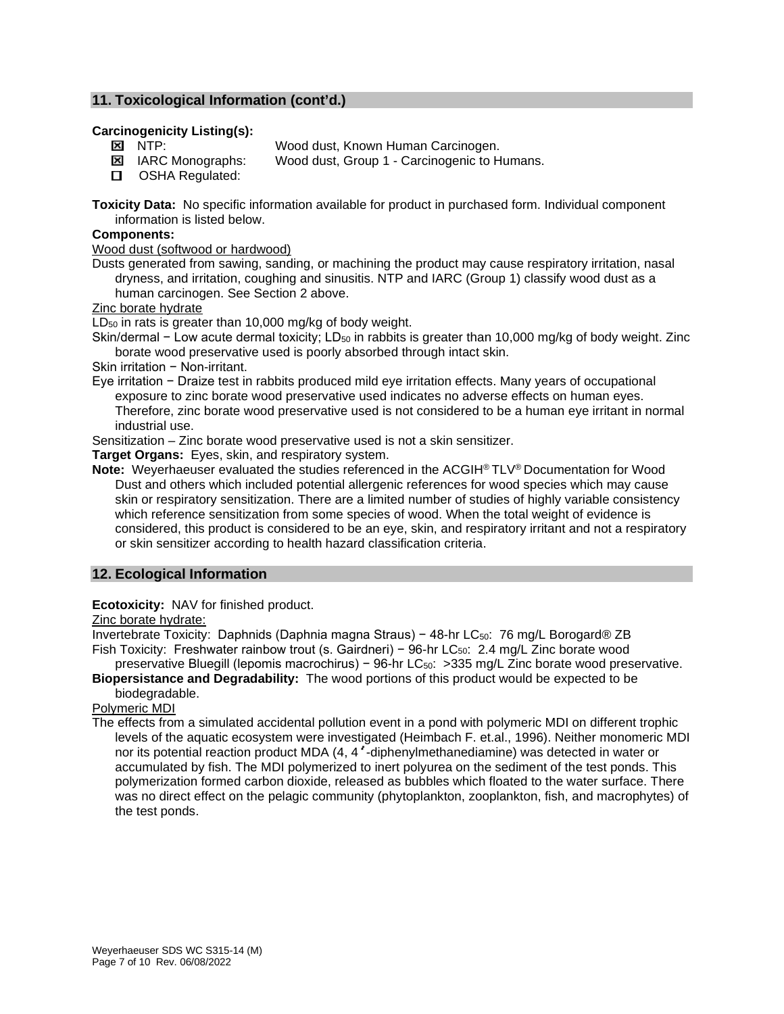# **11. Toxicological Information (cont'd.)**

#### **Carcinogenicity Listing(s):**

**NO** NTP: Wood dust, Known Human Carcinogen.

- **E** IARC Monographs: Wood dust, Group 1 Carcinogenic to Humans.
- **D** OSHA Regulated:

**Toxicity Data:** No specific information available for product in purchased form. Individual component information is listed below.

#### **Components:**

Wood dust (softwood or hardwood)

Dusts generated from sawing, sanding, or machining the product may cause respiratory irritation, nasal dryness, and irritation, coughing and sinusitis. NTP and IARC (Group 1) classify wood dust as a human carcinogen. See Section 2 above.

Zinc borate hydrate

 $LD_{50}$  in rats is greater than 10,000 mg/kg of body weight.

Skin/dermal − Low acute dermal toxicity; LD<sub>50</sub> in rabbits is greater than 10,000 mg/kg of body weight. Zinc borate wood preservative used is poorly absorbed through intact skin.

Skin irritation − Non-irritant.

Eye irritation − Draize test in rabbits produced mild eye irritation effects. Many years of occupational exposure to zinc borate wood preservative used indicates no adverse effects on human eyes. Therefore, zinc borate wood preservative used is not considered to be a human eye irritant in normal industrial use.

Sensitization – Zinc borate wood preservative used is not a skin sensitizer.

**Target Organs:** Eyes, skin, and respiratory system.

**Note:** Weyerhaeuser evaluated the studies referenced in the ACGIH® TLV® Documentation for Wood Dust and others which included potential allergenic references for wood species which may cause skin or respiratory sensitization. There are a limited number of studies of highly variable consistency which reference sensitization from some species of wood. When the total weight of evidence is considered, this product is considered to be an eye, skin, and respiratory irritant and not a respiratory or skin sensitizer according to health hazard classification criteria.

# **12. Ecological Information**

**Ecotoxicity:** NAV for finished product.

Zinc borate hydrate:

Invertebrate Toxicity: Daphnids (Daphnia magna Straus) − 48-hr LC<sub>50</sub>: 76 mg/L Borogard® ZB Fish Toxicity: Freshwater rainbow trout (s. Gairdneri) – 96-hr LC<sub>50</sub>: 2.4 mg/L Zinc borate wood

preservative Bluegill (lepomis macrochirus) − 96-hr LC<sub>50</sub>: > 335 mg/L Zinc borate wood preservative. **Biopersistance and Degradability:** The wood portions of this product would be expected to be

biodegradable.

Polymeric MDI

The effects from a simulated accidental pollution event in a pond with polymeric MDI on different trophic levels of the aquatic ecosystem were investigated (Heimbach F. et.al., 1996). Neither monomeric MDI nor its potential reaction product MDA (4, 4'-diphenylmethanediamine) was detected in water or accumulated by fish. The MDI polymerized to inert polyurea on the sediment of the test ponds. This polymerization formed carbon dioxide, released as bubbles which floated to the water surface. There was no direct effect on the pelagic community (phytoplankton, zooplankton, fish, and macrophytes) of the test ponds.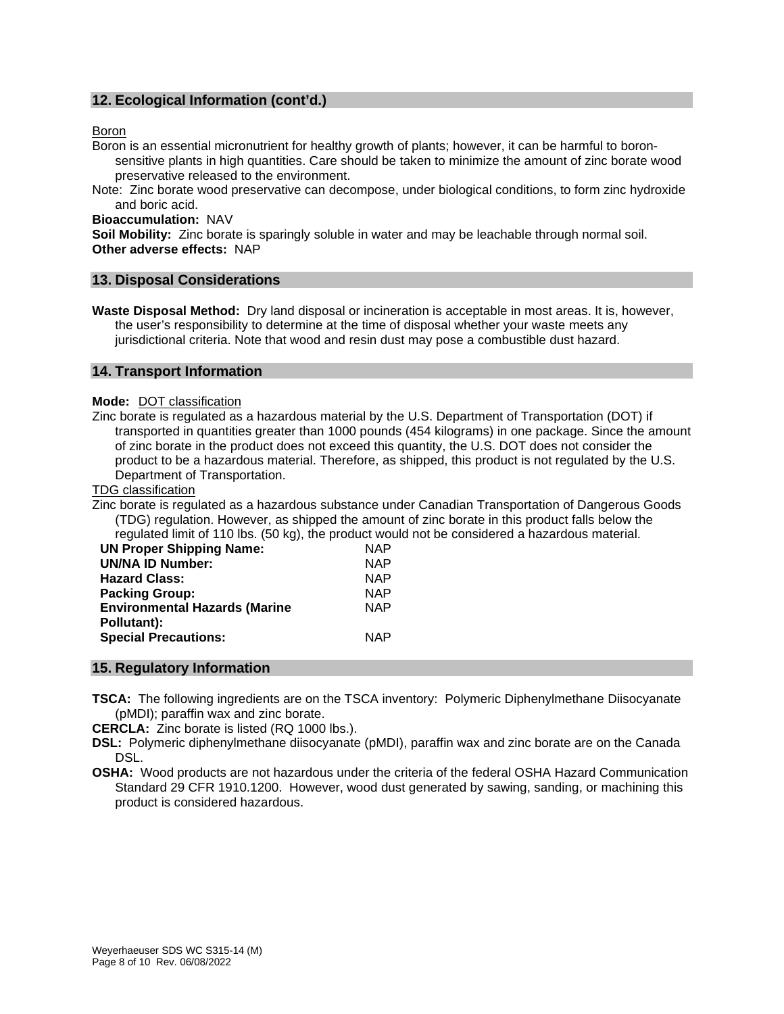# **12. Ecological Information (cont'd.)**

#### Boron

Boron is an essential micronutrient for healthy growth of plants; however, it can be harmful to boronsensitive plants in high quantities. Care should be taken to minimize the amount of zinc borate wood preservative released to the environment.

Note: Zinc borate wood preservative can decompose, under biological conditions, to form zinc hydroxide and boric acid.

**Bioaccumulation:** NAV

**Soil Mobility:** Zinc borate is sparingly soluble in water and may be leachable through normal soil. **Other adverse effects:** NAP

#### **13. Disposal Considerations**

**Waste Disposal Method:** Dry land disposal or incineration is acceptable in most areas. It is, however, the user's responsibility to determine at the time of disposal whether your waste meets any jurisdictional criteria. Note that wood and resin dust may pose a combustible dust hazard.

#### **14. Transport Information**

#### **Mode:** DOT classification

Zinc borate is regulated as a hazardous material by the U.S. Department of Transportation (DOT) if transported in quantities greater than 1000 pounds (454 kilograms) in one package. Since the amount of zinc borate in the product does not exceed this quantity, the U.S. DOT does not consider the product to be a hazardous material. Therefore, as shipped, this product is not regulated by the U.S. Department of Transportation.

#### TDG classification

Zinc borate is regulated as a hazardous substance under Canadian Transportation of Dangerous Goods (TDG) regulation. However, as shipped the amount of zinc borate in this product falls below the regulated limit of 110 lbs. (50 kg), the product would not be considered a hazardous material.

| <b>UN Proper Shipping Name:</b>      | <b>NAP</b> |
|--------------------------------------|------------|
| <b>UN/NA ID Number:</b>              | <b>NAP</b> |
| <b>Hazard Class:</b>                 | <b>NAP</b> |
| <b>Packing Group:</b>                | <b>NAP</b> |
| <b>Environmental Hazards (Marine</b> | <b>NAP</b> |
| Pollutant):                          |            |
| <b>Special Precautions:</b>          | <b>NAP</b> |
|                                      |            |

# **15. Regulatory Information**

**TSCA:** The following ingredients are on the TSCA inventory: Polymeric Diphenylmethane Diisocyanate (pMDI); paraffin wax and zinc borate.

**CERCLA:** Zinc borate is listed (RQ 1000 lbs.).

**DSL:** Polymeric diphenylmethane diisocyanate (pMDI), paraffin wax and zinc borate are on the Canada DSL.

**OSHA:** Wood products are not hazardous under the criteria of the federal OSHA Hazard Communication Standard 29 CFR 1910.1200. However, wood dust generated by sawing, sanding, or machining this product is considered hazardous.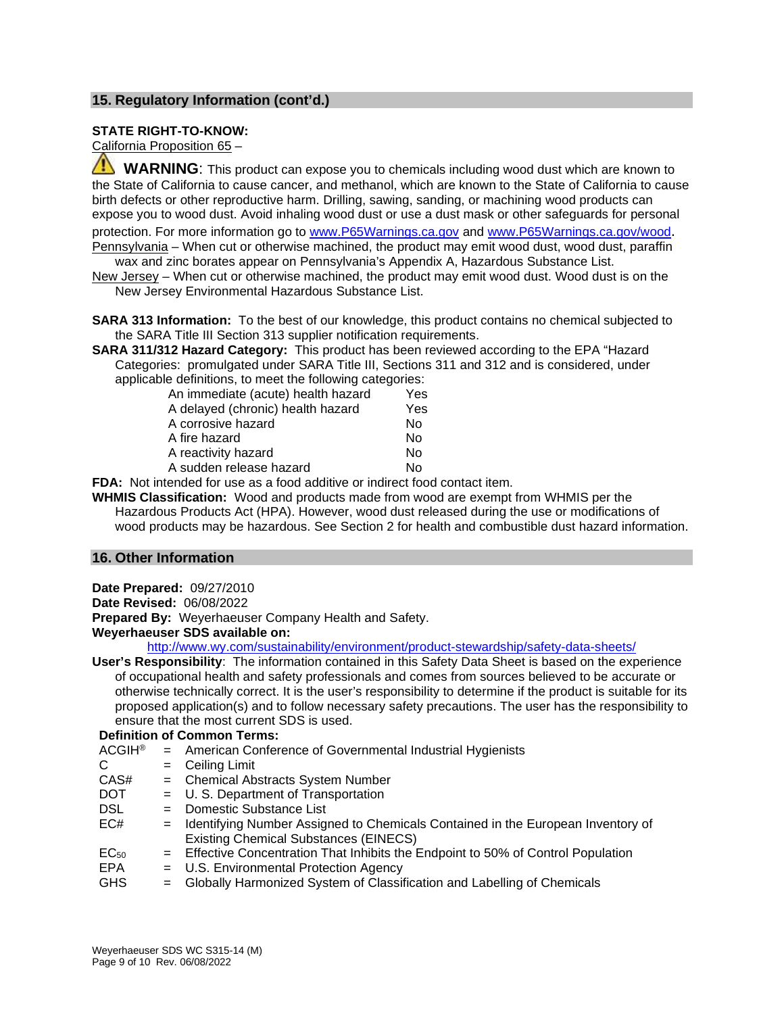# **15. Regulatory Information (cont'd.)**

#### **STATE RIGHT-TO-KNOW:**

California Proposition 65 –

 **WARNING**: This product can expose you to chemicals including wood dust which are known to the State of California to cause cancer, and methanol, which are known to the State of California to cause birth defects or other reproductive harm. Drilling, sawing, sanding, or machining wood products can expose you to wood dust. Avoid inhaling wood dust or use a dust mask or other safeguards for personal protection. For more information go to [www.P65Warnings.ca.gov](http://www.p65warnings.ca.gov/) and [www.P65Warnings.ca.gov/wood.](http://www.p65warnings.ca.gov/wood) Pennsylvania – When cut or otherwise machined, the product may emit wood dust, wood dust, paraffin

wax and zinc borates appear on Pennsylvania's Appendix A, Hazardous Substance List. New Jersey – When cut or otherwise machined, the product may emit wood dust. Wood dust is on the

New Jersey Environmental Hazardous Substance List.

**SARA 313 Information:** To the best of our knowledge, this product contains no chemical subjected to the SARA Title III Section 313 supplier notification requirements.

**SARA 311/312 Hazard Category:** This product has been reviewed according to the EPA "Hazard Categories: promulgated under SARA Title III, Sections 311 and 312 and is considered, under applicable definitions, to meet the following categories:

| An immediate (acute) health hazard | Yes |
|------------------------------------|-----|
| A delayed (chronic) health hazard  | Yes |
| A corrosive hazard                 | N٥  |
| A fire hazard                      | N٥  |
| A reactivity hazard                | N٥  |
| A sudden release hazard            | N٥  |
|                                    |     |

**FDA:** Not intended for use as a food additive or indirect food contact item.

**WHMIS Classification:** Wood and products made from wood are exempt from WHMIS per the Hazardous Products Act (HPA). However, wood dust released during the use or modifications of wood products may be hazardous. See Section 2 for health and combustible dust hazard information.

#### **16. Other Information**

**Date Prepared:** 09/27/2010 **Date Revised:** 06/08/2022 **Prepared By:** Weyerhaeuser Company Health and Safety. **Weyerhaeuser SDS available on:**

<http://www.wy.com/sustainability/environment/product-stewardship/safety-data-sheets/>

**User's Responsibility**: The information contained in this Safety Data Sheet is based on the experience of occupational health and safety professionals and comes from sources believed to be accurate or otherwise technically correct. It is the user's responsibility to determine if the product is suitable for its proposed application(s) and to follow necessary safety precautions. The user has the responsibility to ensure that the most current SDS is used.

|                          | <b>Definition of Common Terms:</b>                                                                                                |
|--------------------------|-----------------------------------------------------------------------------------------------------------------------------------|
| <b>ACGIH<sup>®</sup></b> | = American Conference of Governmental Industrial Hygienists                                                                       |
| C                        | $=$ Ceiling Limit                                                                                                                 |
| CAS#                     | = Chemical Abstracts System Number                                                                                                |
| <b>DOT</b>               | = U. S. Department of Transportation                                                                                              |
| DSL.                     | = Domestic Substance List                                                                                                         |
| EC#                      | = Identifying Number Assigned to Chemicals Contained in the European Inventory of<br><b>Existing Chemical Substances (EINECS)</b> |
| EC <sub>50</sub>         | = Effective Concentration That Inhibits the Endpoint to 50% of Control Population                                                 |
| EPA                      | = U.S. Environmental Protection Agency                                                                                            |
| <b>GHS</b>               | = Globally Harmonized System of Classification and Labelling of Chemicals                                                         |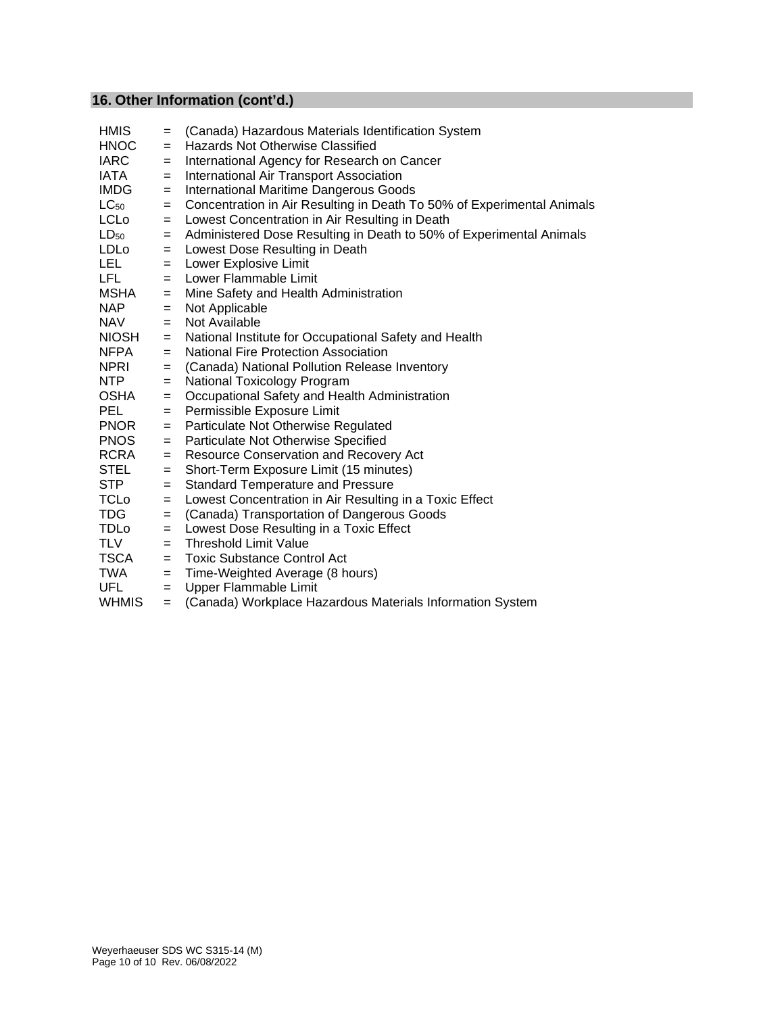# **16. Other Information (cont'd.)**

| <b>HMIS</b>  | $=$ | (Canada) Hazardous Materials Identification System                     |
|--------------|-----|------------------------------------------------------------------------|
| <b>HNOC</b>  | $=$ | Hazards Not Otherwise Classified                                       |
| <b>IARC</b>  | $=$ | International Agency for Research on Cancer                            |
| IATA         | $=$ | International Air Transport Association                                |
| <b>IMDG</b>  | $=$ | International Maritime Dangerous Goods                                 |
| $LC_{50}$    | $=$ | Concentration in Air Resulting in Death To 50% of Experimental Animals |
| <b>LCLo</b>  | $=$ | Lowest Concentration in Air Resulting in Death                         |
| $LD_{50}$    | $=$ | Administered Dose Resulting in Death to 50% of Experimental Animals    |
| LDLo         | $=$ | Lowest Dose Resulting in Death                                         |
| LEL .        | $=$ | Lower Explosive Limit                                                  |
| LFL.         | $=$ | Lower Flammable Limit                                                  |
| MSHA         | $=$ | Mine Safety and Health Administration                                  |
| NAP.         | $=$ | Not Applicable                                                         |
| <b>NAV</b>   | $=$ | Not Available                                                          |
| <b>NIOSH</b> | $=$ | National Institute for Occupational Safety and Health                  |
| <b>NFPA</b>  | $=$ | <b>National Fire Protection Association</b>                            |
| NPRI         | $=$ | (Canada) National Pollution Release Inventory                          |
| NTP          | $=$ | National Toxicology Program                                            |
| OSHA         | $=$ | Occupational Safety and Health Administration                          |
| <b>PEL</b>   | $=$ | Permissible Exposure Limit                                             |
| <b>PNOR</b>  | $=$ | Particulate Not Otherwise Regulated                                    |
| <b>PNOS</b>  | $=$ | Particulate Not Otherwise Specified                                    |
| RCRA         | $=$ | Resource Conservation and Recovery Act                                 |
| STEL         | $=$ | Short-Term Exposure Limit (15 minutes)                                 |
| <b>STP</b>   | $=$ | <b>Standard Temperature and Pressure</b>                               |
| <b>TCLo</b>  | $=$ | Lowest Concentration in Air Resulting in a Toxic Effect                |
| TDG          | $=$ | (Canada) Transportation of Dangerous Goods                             |
| TDLo         | $=$ | Lowest Dose Resulting in a Toxic Effect                                |
| TLV          | $=$ | Threshold Limit Value                                                  |
| TSCA         | $=$ | <b>Toxic Substance Control Act</b>                                     |
| TWA          | $=$ | Time-Weighted Average (8 hours)                                        |
| <b>UFL</b>   | $=$ | Upper Flammable Limit                                                  |
| <b>WHMIS</b> | $=$ | (Canada) Workplace Hazardous Materials Information System              |